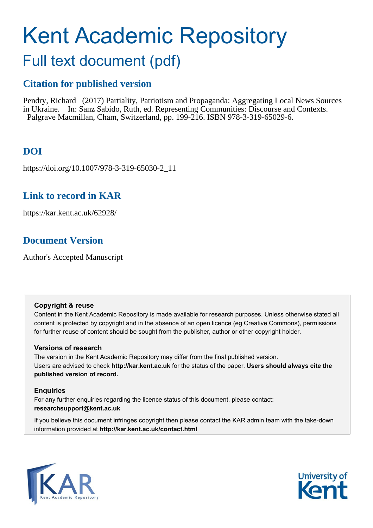# Kent Academic Repository

## Full text document (pdf)

## **Citation for published version**

Pendry, Richard (2017) Partiality, Patriotism and Propaganda: Aggregating Local News Sources in Ukraine. In: Sanz Sabido, Ruth, ed. Representing Communities: Discourse and Contexts. Palgrave Macmillan, Cham, Switzerland, pp. 199-216. ISBN 978-3-319-65029-6.

## **DOI**

https://doi.org/10.1007/978-3-319-65030-2\_11

### **Link to record in KAR**

https://kar.kent.ac.uk/62928/

## **Document Version**

Author's Accepted Manuscript

#### **Copyright & reuse**

Content in the Kent Academic Repository is made available for research purposes. Unless otherwise stated all content is protected by copyright and in the absence of an open licence (eg Creative Commons), permissions for further reuse of content should be sought from the publisher, author or other copyright holder.

#### **Versions of research**

The version in the Kent Academic Repository may differ from the final published version. Users are advised to check **http://kar.kent.ac.uk** for the status of the paper. **Users should always cite the published version of record.**

#### **Enquiries**

For any further enquiries regarding the licence status of this document, please contact: **researchsupport@kent.ac.uk**

If you believe this document infringes copyright then please contact the KAR admin team with the take-down information provided at **http://kar.kent.ac.uk/contact.html**



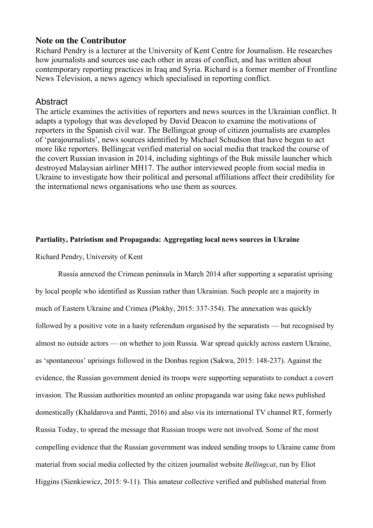#### **Note on the Contributor**

Richard Pendry is a lecturer at the University of Kent Centre for Journalism. He researches how journalists and sources use each other in areas of conflict, and has written about contemporary reporting practices in Iraq and Syria. Richard is a former member of Frontline News Television, a news agency which specialised in reporting conflict.

#### Abstract

The article examines the activities of reporters and news sources in the Ukrainian conflict. It adapts a typology that was developed by David Deacon to examine the motivations of reporters in the Spanish civil war. The Bellingcat group of citizen journalists are examples of 'parajournalists', news sources identified by Michael Schudson that have begun to act more like reporters. Bellingcat verified material on social media that tracked the course of the covert Russian invasion in 2014, including sightings of the Buk missile launcher which destroyed Malaysian airliner MH17. The author interviewed people from social media in Ukraine to investigate how their political and personal affiliations affect their credibility for the international news organisations who use them as sources.

#### **Partiality, Patriotism and Propaganda: Aggregating local news sources in Ukraine**

#### Richard Pendry, University of Kent

Russia annexed the Crimean peninsula in March 2014 after supporting a separatist uprising by local people who identified as Russian rather than Ukrainian. Such people are a majority in much of Eastern Ukraine and Crimea (Plokhy, 2015: 337-354). The annexation was quickly followed by a positive vote in a hasty referendum organised by the separatists — but recognised by almost no outside actors — on whether to join Russia. War spread quickly across eastern Ukraine, as 'spontaneous' uprisings followed in the Donbas region (Sakwa, 2015: 148-237). Against the evidence, the Russian government denied its troops were supporting separatists to conduct a covert invasion. The Russian authorities mounted an online propaganda war using fake news published domestically (Khaldarova and Pantti, 2016) and also via its international TV channel RT, formerly Russia Today, to spread the message that Russian troops were not involved. Some of the most compelling evidence that the Russian government was indeed sending troops to Ukraine came from material from social media collected by the citizen journalist website *Bellingcat*, run by Eliot Higgins (Sienkiewicz, 2015: 9-11). This amateur collective verified and published material from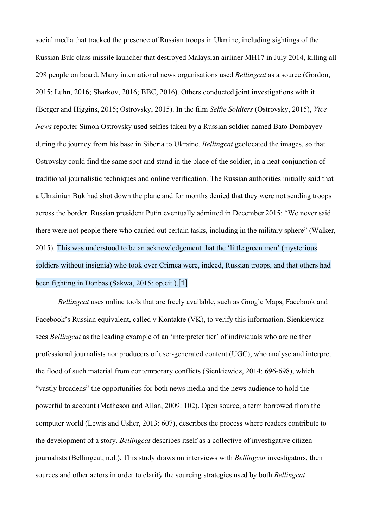social media that tracked the presence of Russian troops in Ukraine, including sightings of the Russian Buk-class missile launcher that destroyed Malaysian airliner MH17 in July 2014, killing all 298 people on board. Many international news organisations used *Bellingcat* as a source (Gordon, 2015; Luhn, 2016; Sharkov, 2016; BBC, 2016). Others conducted joint investigations with it (Borger and Higgins, 2015; Ostrovsky, 2015). In the film *Selfie Soldiers* (Ostrovsky, 2015), *Vice News* reporter Simon Ostrovsky used selfies taken by a Russian soldier named Bato Dombayev during the journey from his base in Siberia to Ukraine. *Bellingcat* geolocated the images, so that Ostrovsky could find the same spot and stand in the place of the soldier, in a neat conjunction of traditional journalistic techniques and online verification. The Russian authorities initially said that a Ukrainian Buk had shot down the plane and for months denied that they were not sending troops across the border. Russian president Putin eventually admitted in December 2015: "We never said there were not people there who carried out certain tasks, including in the military sphere" (Walker, 2015). This was understood to be an acknowledgement that the 'little green men' (mysterious soldiers without insignia) who took over Crimea were, indeed, Russian troops, and that others had been fighting in Donbas (Sakwa, 2015: op.cit.).[1]

*Bellingcat* uses online tools that are freely available, such as Google Maps, Facebook and Facebook's Russian equivalent, called v Kontakte (VK), to verify this information. Sienkiewicz sees *Bellingcat* as the leading example of an 'interpreter tier' of individuals who are neither professional journalists nor producers of user-generated content (UGC), who analyse and interpret the flood of such material from contemporary conflicts (Sienkiewicz, 2014: 696-698), which "vastly broadens" the opportunities for both news media and the news audience to hold the powerful to account (Matheson and Allan, 2009: 102). Open source, a term borrowed from the computer world (Lewis and Usher, 2013: 607), describes the process where readers contribute to the development of a story. *Bellingcat* describes itself as a collective of investigative citizen journalists (Bellingcat, n.d.). This study draws on interviews with *Bellingcat* investigators, their sources and other actors in order to clarify the sourcing strategies used by both *Bellingcat*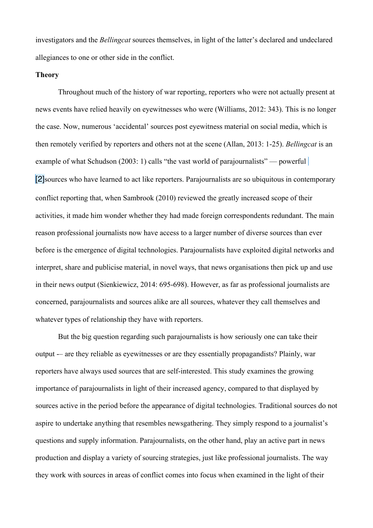investigators and the *Bellingcat* sources themselves, in light of the latter's declared and undeclared allegiances to one or other side in the conflict.

#### **Theory**

Throughout much of the history of war reporting, reporters who were not actually present at news events have relied heavily on eyewitnesses who were (Williams, 2012: 343). This is no longer the case. Now, numerous 'accidental' sources post eyewitness material on social media, which is then remotely verified by reporters and others not at the scene (Allan, 2013: 1-25). *Bellingcat* is an example of what Schudson (2003: 1) calls "the vast world of parajournalists" — powerful [2]sources who have learned to act like reporters. Parajournalists are so ubiquitous in contemporary conflict reporting that, when Sambrook (2010) reviewed the greatly increased scope of their activities, it made him wonder whether they had made foreign correspondents redundant. The main reason professional journalists now have access to a larger number of diverse sources than ever before is the emergence of digital technologies. Parajournalists have exploited digital networks and interpret, share and publicise material, in novel ways, that news organisations then pick up and use in their news output (Sienkiewicz, 2014: 695-698). However, as far as professional journalists are concerned, parajournalists and sources alike are all sources, whatever they call themselves and whatever types of relationship they have with reporters.

But the big question regarding such parajournalists is how seriously one can take their output -– are they reliable as eyewitnesses or are they essentially propagandists? Plainly, war reporters have always used sources that are self-interested. This study examines the growing importance of parajournalists in light of their increased agency, compared to that displayed by sources active in the period before the appearance of digital technologies. Traditional sources do not aspire to undertake anything that resembles newsgathering. They simply respond to a journalist's questions and supply information. Parajournalists, on the other hand, play an active part in news production and display a variety of sourcing strategies, just like professional journalists. The way they work with sources in areas of conflict comes into focus when examined in the light of their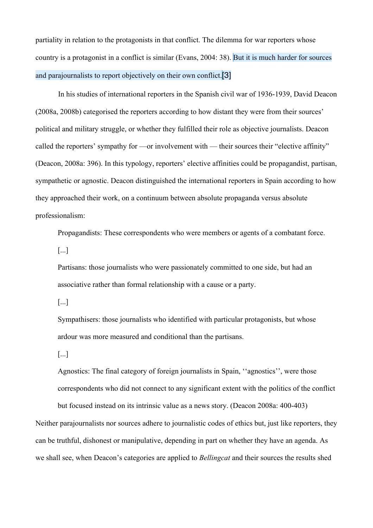partiality in relation to the protagonists in that conflict. The dilemma for war reporters whose country is a protagonist in a conflict is similar (Evans, 2004: 38). But it is much harder for sources and parajournalists to report objectively on their own conflict.[3]

In his studies of international reporters in the Spanish civil war of 1936-1939, David Deacon (2008a, 2008b) categorised the reporters according to how distant they were from their sources' political and military struggle, or whether they fulfilled their role as objective journalists. Deacon called the reporters' sympathy for —or involvement with — their sources their "elective affinity" (Deacon, 2008a: 396). In this typology, reporters' elective affinities could be propagandist, partisan, sympathetic or agnostic. Deacon distinguished the international reporters in Spain according to how they approached their work, on a continuum between absolute propaganda versus absolute professionalism:

Propagandists: These correspondents who were members or agents of a combatant force.

[...]

Partisans: those journalists who were passionately committed to one side, but had an associative rather than formal relationship with a cause or a party.

[...]

Sympathisers: those journalists who identified with particular protagonists, but whose ardour was more measured and conditional than the partisans.

[...]

Agnostics: The final category of foreign journalists in Spain, ''agnostics'', were those correspondents who did not connect to any significant extent with the politics of the conflict

Neither parajournalists nor sources adhere to journalistic codes of ethics but, just like reporters, they can be truthful, dishonest or manipulative, depending in part on whether they have an agenda. As we shall see, when Deacon's categories are applied to *Bellingcat* and their sources the results shed

but focused instead on its intrinsic value as a news story. (Deacon 2008a: 400-403)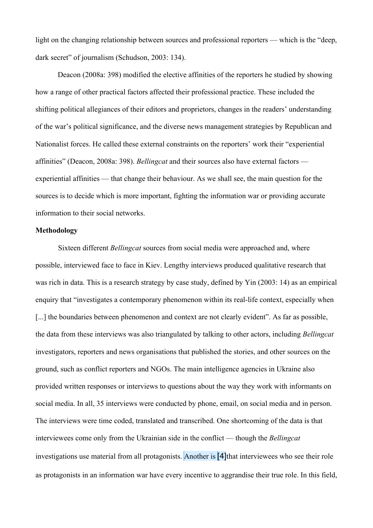light on the changing relationship between sources and professional reporters — which is the "deep, dark secret" of journalism (Schudson, 2003: 134).

Deacon (2008a: 398) modified the elective affinities of the reporters he studied by showing how a range of other practical factors affected their professional practice. These included the shifting political allegiances of their editors and proprietors, changes in the readers' understanding of the war's political significance, and the diverse news management strategies by Republican and Nationalist forces. He called these external constraints on the reporters' work their "experiential affinities" (Deacon, 2008a: 398). *Bellingcat* and their sources also have external factors experiential affinities — that change their behaviour. As we shall see, the main question for the sources is to decide which is more important, fighting the information war or providing accurate information to their social networks.

#### **Methodology**

Sixteen different *Bellingcat* sources from social media were approached and, where possible, interviewed face to face in Kiev. Lengthy interviews produced qualitative research that was rich in data. This is a research strategy by case study, defined by Yin (2003: 14) as an empirical enquiry that "investigates a contemporary phenomenon within its real-life context, especially when [...] the boundaries between phenomenon and context are not clearly evident". As far as possible, the data from these interviews was also triangulated by talking to other actors, including *Bellingcat* investigators, reporters and news organisations that published the stories, and other sources on the ground, such as conflict reporters and NGOs. The main intelligence agencies in Ukraine also provided written responses or interviews to questions about the way they work with informants on social media. In all, 35 interviews were conducted by phone, email, on social media and in person. The interviews were time coded, translated and transcribed. One shortcoming of the data is that interviewees come only from the Ukrainian side in the conflict — though the *Bellingcat* investigations use material from all protagonists. Another is [4]that interviewees who see their role as protagonists in an information war have every incentive to aggrandise their true role. In this field,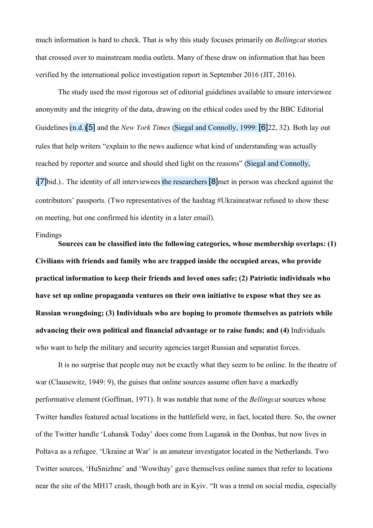much information is hard to check. That is why this study focuses primarily on *Bellingcat* stories that crossed over to mainstream media outlets. Many of these draw on information that has been verified by the international police investigation report in September 2016 (JIT, 2016).

The study used the most rigorous set of editorial guidelines available to ensure interviewee anonymity and the integrity of the data, drawing on the ethical codes used by the BBC Editorial Guidelines (n.d.)[5] and the *New York Times* (Siegal and Connolly, 1999: [6]22, 32). Both lay out rules that help writers "explain to the news audience what kind of understanding was actually reached by reporter and source and should shed light on the reasons" (Siegal and Connolly, i[7]bid.).. The identity of all interviewees the researchers [8]met in person was checked against the contributors' passports. (Two representatives of the hashtag #Ukraineatwar refused to show these on meeting, but one confirmed his identity in a later email).

#### Findings

**Sources can be classified into the following categories, whose membership overlaps: (1) Civilians with friends and family who are trapped inside the occupied areas, who provide practical information to keep their friends and loved ones safe; (2) Patriotic individuals who have set up online propaganda ventures on their own initiative to expose what they see as Russian wrongdoing; (3) Individuals who are hoping to promote themselves as patriots while advancing their own political and financial advantage or to raise funds; and (4)** Individuals who want to help the military and security agencies target Russian and separatist forces.

It is no surprise that people may not be exactly what they seem to be online. In the theatre of war (Clausewitz, 1949: 9), the guises that online sources assume often have a markedly performative element (Goffman, 1971). It was notable that none of the *Bellingcat* sources whose Twitter handles featured actual locations in the battlefield were, in fact, located there. So, the owner of the Twitter handle 'Luhansk Today' does come from Lugansk in the Donbas, but now lives in Poltava as a refugee. 'Ukraine at War' is an amateur investigator located in the Netherlands. Two Twitter sources, 'HuSnizhne' and 'Wowihay' gave themselves online names that refer to locations near the site of the MH17 crash, though both are in Kyiv. "It was a trend on social media, especially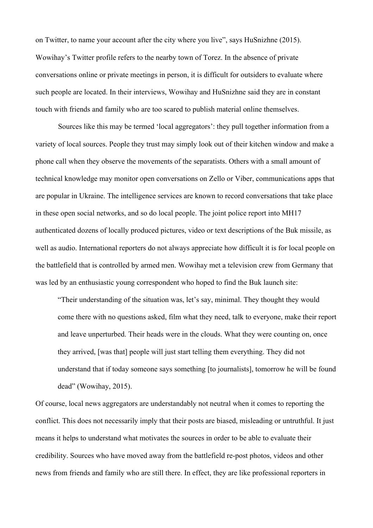on Twitter, to name your account after the city where you live", says HuSnizhne (2015). Wowihay's Twitter profile refers to the nearby town of Torez. In the absence of private conversations online or private meetings in person, it is difficult for outsiders to evaluate where such people are located. In their interviews, Wowihay and HuSnizhne said they are in constant touch with friends and family who are too scared to publish material online themselves.

Sources like this may be termed 'local aggregators': they pull together information from a variety of local sources. People they trust may simply look out of their kitchen window and make a phone call when they observe the movements of the separatists. Others with a small amount of technical knowledge may monitor open conversations on Zello or Viber, communications apps that are popular in Ukraine. The intelligence services are known to record conversations that take place in these open social networks, and so do local people. The joint police report into MH17 authenticated dozens of locally produced pictures, video or text descriptions of the Buk missile, as well as audio. International reporters do not always appreciate how difficult it is for local people on the battlefield that is controlled by armed men. Wowihay met a television crew from Germany that was led by an enthusiastic young correspondent who hoped to find the Buk launch site:

"Their understanding of the situation was, let's say, minimal. They thought they would come there with no questions asked, film what they need, talk to everyone, make their report and leave unperturbed. Their heads were in the clouds. What they were counting on, once they arrived, [was that] people will just start telling them everything. They did not understand that if today someone says something [to journalists], tomorrow he will be found dead" (Wowihay, 2015).

Of course, local news aggregators are understandably not neutral when it comes to reporting the conflict. This does not necessarily imply that their posts are biased, misleading or untruthful. It just means it helps to understand what motivates the sources in order to be able to evaluate their credibility. Sources who have moved away from the battlefield re-post photos, videos and other news from friends and family who are still there. In effect, they are like professional reporters in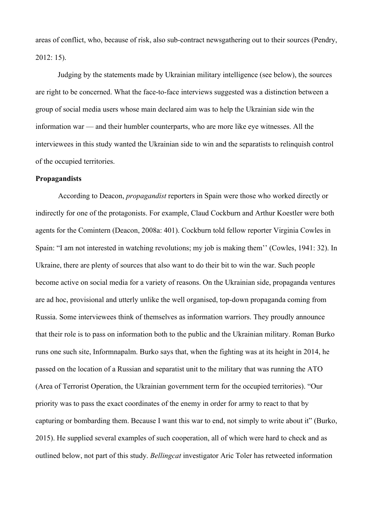areas of conflict, who, because of risk, also sub-contract newsgathering out to their sources (Pendry, 2012: 15).

Judging by the statements made by Ukrainian military intelligence (see below), the sources are right to be concerned. What the face-to-face interviews suggested was a distinction between a group of social media users whose main declared aim was to help the Ukrainian side win the information war — and their humbler counterparts, who are more like eye witnesses. All the interviewees in this study wanted the Ukrainian side to win and the separatists to relinquish control of the occupied territories.

#### **Propagandists**

According to Deacon, *propagandist* reporters in Spain were those who worked directly or indirectly for one of the protagonists. For example, Claud Cockburn and Arthur Koestler were both agents for the Comintern (Deacon, 2008a: 401). Cockburn told fellow reporter Virginia Cowles in Spain: "I am not interested in watching revolutions; my job is making them'' (Cowles, 1941: 32). In Ukraine, there are plenty of sources that also want to do their bit to win the war. Such people become active on social media for a variety of reasons. On the Ukrainian side, propaganda ventures are ad hoc, provisional and utterly unlike the well organised, top-down propaganda coming from Russia. Some interviewees think of themselves as information warriors. They proudly announce that their role is to pass on information both to the public and the Ukrainian military. Roman Burko runs one such site, Informnapalm. Burko says that, when the fighting was at its height in 2014, he passed on the location of a Russian and separatist unit to the military that was running the ATO (Area of Terrorist Operation, the Ukrainian government term for the occupied territories). "Our priority was to pass the exact coordinates of the enemy in order for army to react to that by capturing or bombarding them. Because I want this war to end, not simply to write about it" (Burko, 2015). He supplied several examples of such cooperation, all of which were hard to check and as outlined below, not part of this study. *Bellingcat* investigator Aric Toler has retweeted information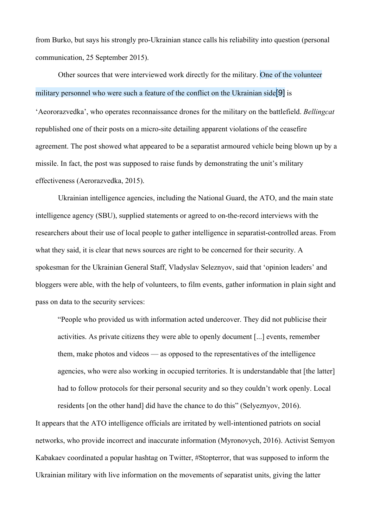from Burko, but says his strongly pro-Ukrainian stance calls his reliability into question (personal communication, 25 September 2015).

Other sources that were interviewed work directly for the military. One of the volunteer military personnel who were such a feature of the conflict on the Ukrainian side<sup>[9]</sup> is

'Aeororazvedka', who operates reconnaissance drones for the military on the battlefield. *Bellingcat* republished one of their posts on a micro-site detailing apparent violations of the ceasefire agreement. The post showed what appeared to be a separatist armoured vehicle being blown up by a missile. In fact, the post was supposed to raise funds by demonstrating the unit's military effectiveness (Aerorazvedka, 2015).

Ukrainian intelligence agencies, including the National Guard, the ATO, and the main state intelligence agency (SBU), supplied statements or agreed to on-the-record interviews with the researchers about their use of local people to gather intelligence in separatist-controlled areas. From what they said, it is clear that news sources are right to be concerned for their security. A spokesman for the Ukrainian General Staff, Vladyslav Seleznyov, said that 'opinion leaders' and bloggers were able, with the help of volunteers, to film events, gather information in plain sight and pass on data to the security services:

"People who provided us with information acted undercover. They did not publicise their activities. As private citizens they were able to openly document [...] events, remember them, make photos and videos — as opposed to the representatives of the intelligence agencies, who were also working in occupied territories. It is understandable that [the latter] had to follow protocols for their personal security and so they couldn't work openly. Local residents [on the other hand] did have the chance to do this" (Selyeznyov, 2016).

It appears that the ATO intelligence officials are irritated by well-intentioned patriots on social networks, who provide incorrect and inaccurate information (Myronovych, 2016). Activist Semyon Kabakaev coordinated a popular hashtag on Twitter, #Stopterror, that was supposed to inform the Ukrainian military with live information on the movements of separatist units, giving the latter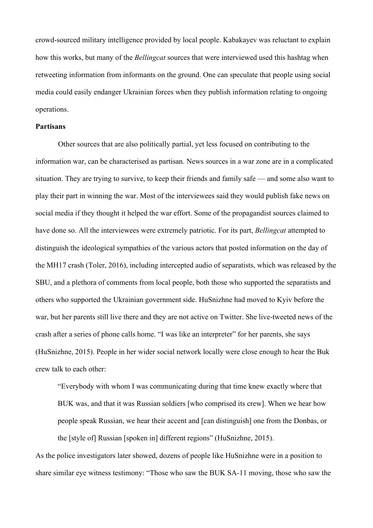crowd-sourced military intelligence provided by local people. Kabakayev was reluctant to explain how this works, but many of the *Bellingcat* sources that were interviewed used this hashtag when retweeting information from informants on the ground. One can speculate that people using social media could easily endanger Ukrainian forces when they publish information relating to ongoing operations.

#### **Partisans**

Other sources that are also politically partial, yet less focused on contributing to the information war, can be characterised as partisan. News sources in a war zone are in a complicated situation. They are trying to survive, to keep their friends and family safe — and some also want to play their part in winning the war. Most of the interviewees said they would publish fake news on social media if they thought it helped the war effort. Some of the propagandist sources claimed to have done so. All the interviewees were extremely patriotic. For its part, *Bellingcat* attempted to distinguish the ideological sympathies of the various actors that posted information on the day of the MH17 crash (Toler, 2016), including intercepted audio of separatists, which was released by the SBU, and a plethora of comments from local people, both those who supported the separatists and others who supported the Ukrainian government side. HuSnizhne had moved to Kyiv before the war, but her parents still live there and they are not active on Twitter. She live-tweeted news of the crash after a series of phone calls home. "I was like an interpreter" for her parents, she says (HuSnizhne, 2015). People in her wider social network locally were close enough to hear the Buk crew talk to each other:

"Everybody with whom I was communicating during that time knew exactly where that BUK was, and that it was Russian soldiers [who comprised its crew]. When we hear how people speak Russian, we hear their accent and [can distinguish] one from the Donbas, or the [style of] Russian [spoken in] different regions" (HuSnizhne, 2015).

As the police investigators later showed, dozens of people like HuSnizhne were in a position to share similar eye witness testimony: "Those who saw the BUK SA-11 moving, those who saw the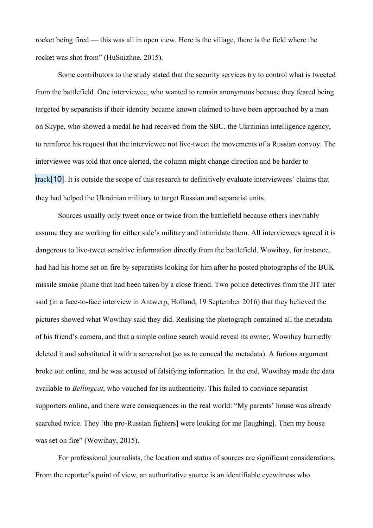rocket being fired — this was all in open view. Here is the village, there is the field where the rocket was shot from" (HuSnizhne, 2015).

Some contributors to the study stated that the security services try to control what is tweeted from the battlefield. One interviewee, who wanted to remain anonymous because they feared being targeted by separatists if their identity became known claimed to have been approached by a man on Skype, who showed a medal he had received from the SBU, the Ukrainian intelligence agency, to reinforce his request that the interviewee not live-tweet the movements of a Russian convoy. The interviewee was told that once alerted, the column might change direction and be harder to track[10]. It is outside the scope of this research to definitively evaluate interviewees' claims that they had helped the Ukrainian military to target Russian and separatist units.

Sources usually only tweet once or twice from the battlefield because others inevitably assume they are working for either side's military and intimidate them. All interviewees agreed it is dangerous to live-tweet sensitive information directly from the battlefield. Wowihay, for instance, had had his home set on fire by separatists looking for him after he posted photographs of the BUK missile smoke plume that had been taken by a close friend. Two police detectives from the JIT later said (in a face-to-face interview in Antwerp, Holland, 19 September 2016) that they believed the pictures showed what Wowihay said they did. Realising the photograph contained all the metadata of his friend's camera, and that a simple online search would reveal its owner, Wowihay hurriedly deleted it and substituted it with a screenshot (so as to conceal the metadata). A furious argument broke out online, and he was accused of falsifying information. In the end, Wowihay made the data available to *Bellingcat*, who vouched for its authenticity. This failed to convince separatist supporters online, and there were consequences in the real world: "My parents' house was already searched twice. They [the pro-Russian fighters] were looking for me [laughing]. Then my house was set on fire" (Wowihay, 2015).

For professional journalists, the location and status of sources are significant considerations. From the reporter's point of view, an authoritative source is an identifiable eyewitness who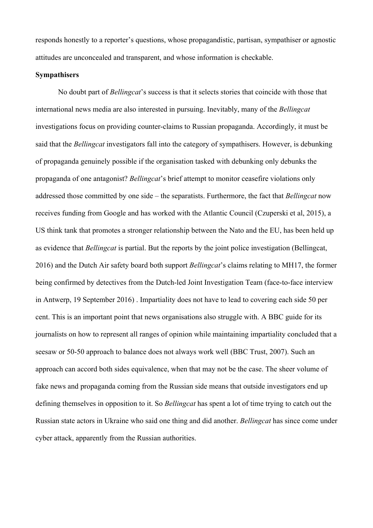responds honestly to a reporter's questions, whose propagandistic, partisan, sympathiser or agnostic attitudes are unconcealed and transparent, and whose information is checkable.

#### **Sympathisers**

No doubt part of *Bellingcat*'s success is that it selects stories that coincide with those that international news media are also interested in pursuing. Inevitably, many of the *Bellingcat* investigations focus on providing counter-claims to Russian propaganda. Accordingly, it must be said that the *Bellingcat* investigators fall into the category of sympathisers. However, is debunking of propaganda genuinely possible if the organisation tasked with debunking only debunks the propaganda of one antagonist? *Bellingcat*'s brief attempt to monitor ceasefire violations only addressed those committed by one side – the separatists. Furthermore, the fact that *Bellingcat* now receives funding from Google and has worked with the Atlantic Council (Czuperski et al, 2015), a US think tank that promotes a stronger relationship between the Nato and the EU, has been held up as evidence that *Bellingcat* is partial. But the reports by the joint police investigation (Bellingcat, 2016) and the Dutch Air safety board both support *Bellingcat*'s claims relating to MH17, the former being confirmed by detectives from the Dutch-led Joint Investigation Team (face-to-face interview in Antwerp, 19 September 2016) . Impartiality does not have to lead to covering each side 50 per cent. This is an important point that news organisations also struggle with. A BBC guide for its journalists on how to represent all ranges of opinion while maintaining impartiality concluded that a seesaw or 50-50 approach to balance does not always work well (BBC Trust, 2007). Such an approach can accord both sides equivalence, when that may not be the case. The sheer volume of fake news and propaganda coming from the Russian side means that outside investigators end up defining themselves in opposition to it. So *Bellingcat* has spent a lot of time trying to catch out the Russian state actors in Ukraine who said one thing and did another. *Bellingcat* has since come under cyber attack, apparently from the Russian authorities.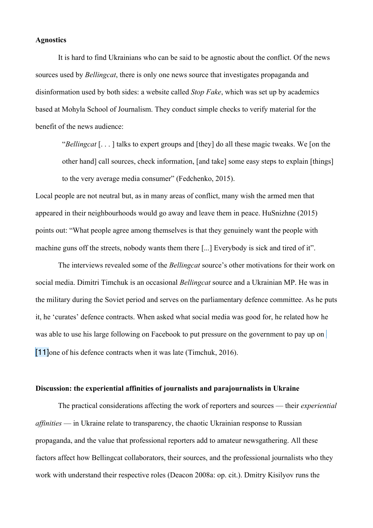#### **Agnostics**

It is hard to find Ukrainians who can be said to be agnostic about the conflict. Of the news sources used by *Bellingcat*, there is only one news source that investigates propaganda and disinformation used by both sides: a website called *Stop Fake*, which was set up by academics based at Mohyla School of Journalism. They conduct simple checks to verify material for the benefit of the news audience:

"*Bellingcat* [. . . ] talks to expert groups and [they] do all these magic tweaks. We [on the other hand] call sources, check information, [and take] some easy steps to explain [things] to the very average media consumer" (Fedchenko, 2015).

Local people are not neutral but, as in many areas of conflict, many wish the armed men that appeared in their neighbourhoods would go away and leave them in peace. HuSnizhne (2015) points out: "What people agree among themselves is that they genuinely want the people with machine guns off the streets, nobody wants them there [...] Everybody is sick and tired of it".

The interviews revealed some of the *Bellingcat* source's other motivations for their work on social media. Dimitri Timchuk is an occasional *Bellingcat* source and a Ukrainian MP. He was in the military during the Soviet period and serves on the parliamentary defence committee. As he puts it, he 'curates' defence contracts. When asked what social media was good for, he related how he was able to use his large following on Facebook to put pressure on the government to pay up on [11] one of his defence contracts when it was late (Timchuk, 2016).

#### **Discussion: the experiential affinities of journalists and parajournalists in Ukraine**

The practical considerations affecting the work of reporters and sources — their *experiential affinities* — in Ukraine relate to transparency, the chaotic Ukrainian response to Russian propaganda, and the value that professional reporters add to amateur newsgathering. All these factors affect how Bellingcat collaborators, their sources, and the professional journalists who they work with understand their respective roles (Deacon 2008a: op. cit.). Dmitry Kisilyov runs the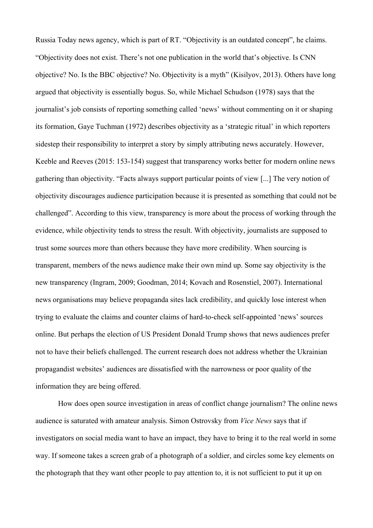Russia Today news agency, which is part of RT. "Objectivity is an outdated concept", he claims. "Objectivity does not exist. There's not one publication in the world that's objective. Is CNN objective? No. Is the BBC objective? No. Objectivity is a myth" (Kisilyov, 2013). Others have long argued that objectivity is essentially bogus. So, while Michael Schudson (1978) says that the journalist's job consists of reporting something called 'news' without commenting on it or shaping its formation, Gaye Tuchman (1972) describes objectivity as a 'strategic ritual' in which reporters sidestep their responsibility to interpret a story by simply attributing news accurately. However, Keeble and Reeves (2015: 153-154) suggest that transparency works better for modern online news gathering than objectivity. "Facts always support particular points of view [...] The very notion of objectivity discourages audience participation because it is presented as something that could not be challenged". According to this view, transparency is more about the process of working through the evidence, while objectivity tends to stress the result. With objectivity, journalists are supposed to trust some sources more than others because they have more credibility. When sourcing is transparent, members of the news audience make their own mind up. Some say objectivity is the new transparency (Ingram, 2009; Goodman, 2014; Kovach and Rosenstiel, 2007). International news organisations may believe propaganda sites lack credibility, and quickly lose interest when trying to evaluate the claims and counter claims of hard-to-check self-appointed 'news' sources online. But perhaps the election of US President Donald Trump shows that news audiences prefer not to have their beliefs challenged. The current research does not address whether the Ukrainian propagandist websites' audiences are dissatisfied with the narrowness or poor quality of the information they are being offered.

How does open source investigation in areas of conflict change journalism? The online news audience is saturated with amateur analysis. Simon Ostrovsky from *Vice News* says that if investigators on social media want to have an impact, they have to bring it to the real world in some way. If someone takes a screen grab of a photograph of a soldier, and circles some key elements on the photograph that they want other people to pay attention to, it is not sufficient to put it up on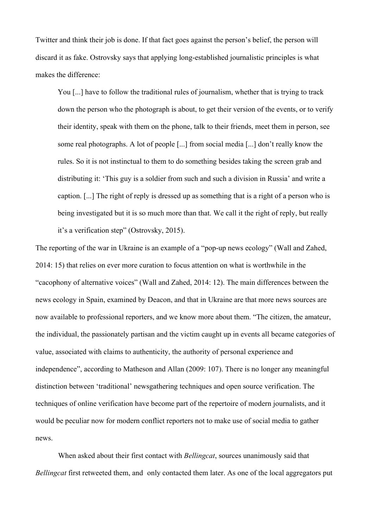Twitter and think their job is done. If that fact goes against the person's belief, the person will discard it as fake. Ostrovsky says that applying long-established journalistic principles is what makes the difference:

You [...] have to follow the traditional rules of journalism, whether that is trying to track down the person who the photograph is about, to get their version of the events, or to verify their identity, speak with them on the phone, talk to their friends, meet them in person, see some real photographs. A lot of people [...] from social media [...] don't really know the rules. So it is not instinctual to them to do something besides taking the screen grab and distributing it: 'This guy is a soldier from such and such a division in Russia' and write a caption. [...] The right of reply is dressed up as something that is a right of a person who is being investigated but it is so much more than that. We call it the right of reply, but really it's a verification step" (Ostrovsky, 2015).

The reporting of the war in Ukraine is an example of a "pop-up news ecology" (Wall and Zahed, 2014: 15) that relies on ever more curation to focus attention on what is worthwhile in the "cacophony of alternative voices" (Wall and Zahed, 2014: 12). The main differences between the news ecology in Spain, examined by Deacon, and that in Ukraine are that more news sources are now available to professional reporters, and we know more about them. "The citizen, the amateur, the individual, the passionately partisan and the victim caught up in events all became categories of value, associated with claims to authenticity, the authority of personal experience and independence", according to Matheson and Allan (2009: 107). There is no longer any meaningful distinction between 'traditional' newsgathering techniques and open source verification. The techniques of online verification have become part of the repertoire of modern journalists, and it would be peculiar now for modern conflict reporters not to make use of social media to gather news.

When asked about their first contact with *Bellingcat*, sources unanimously said that *Bellingcat* first retweeted them, and only contacted them later. As one of the local aggregators put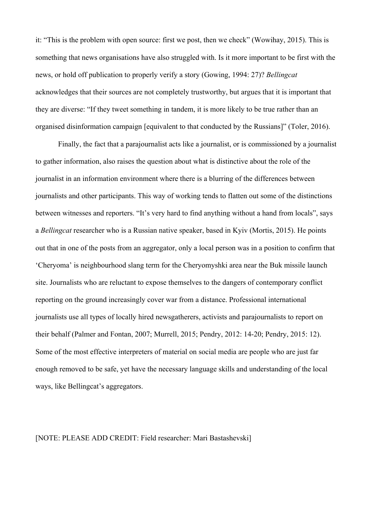it: "This is the problem with open source: first we post, then we check" (Wowihay, 2015). This is something that news organisations have also struggled with. Is it more important to be first with the news, or hold off publication to properly verify a story (Gowing, 1994: 27)? *Bellingcat* acknowledges that their sources are not completely trustworthy, but argues that it is important that they are diverse: "If they tweet something in tandem, it is more likely to be true rather than an organised disinformation campaign [equivalent to that conducted by the Russians]" (Toler, 2016).

Finally, the fact that a parajournalist acts like a journalist, or is commissioned by a journalist to gather information, also raises the question about what is distinctive about the role of the journalist in an information environment where there is a blurring of the differences between journalists and other participants. This way of working tends to flatten out some of the distinctions between witnesses and reporters. "It's very hard to find anything without a hand from locals", says a *Bellingcat* researcher who is a Russian native speaker, based in Kyiv (Mortis, 2015). He points out that in one of the posts from an aggregator, only a local person was in a position to confirm that 'Cheryoma' is neighbourhood slang term for the Cheryomyshki area near the Buk missile launch site. Journalists who are reluctant to expose themselves to the dangers of contemporary conflict reporting on the ground increasingly cover war from a distance. Professional international journalists use all types of locally hired newsgatherers, activists and parajournalists to report on their behalf (Palmer and Fontan, 2007; Murrell, 2015; Pendry, 2012: 14-20; Pendry, 2015: 12). Some of the most effective interpreters of material on social media are people who are just far enough removed to be safe, yet have the necessary language skills and understanding of the local ways, like Bellingcat's aggregators.

#### [NOTE: PLEASE ADD CREDIT: Field researcher: Mari Bastashevski]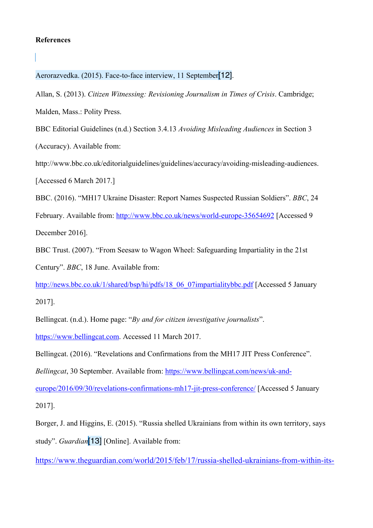#### **References**

Aerorazvedka. (2015). Face-to-face interview, 11 September[12].

Allan, S. (2013). *Citizen Witnessing: Revisioning Journalism in Times of Crisis*. Cambridge; Malden, Mass.: Polity Press.

BBC Editorial Guidelines (n.d.) Section 3.4.13 *Avoiding Misleading Audiences* in Section 3

(Accuracy). Available from:

http://www.bbc.co.uk/editorialguidelines/guidelines/accuracy/avoiding-misleading-audiences. [Accessed 6 March 2017.]

BBC. (2016). "MH17 Ukraine Disaster: Report Names Suspected Russian Soldiers". *BBC*, 24

February. Available from: http://www.bbc.co.uk/news/world-europe-35654692 [Accessed 9 December 2016].

BBC Trust. (2007). "From Seesaw to Wagon Wheel: Safeguarding Impartiality in the 21st Century". *BBC*, 18 June. Available from:

http://news.bbc.co.uk/1/shared/bsp/hi/pdfs/18\_06\_07impartialitybbc.pdf [Accessed 5 January 2017].

Bellingcat. (n.d.). Home page: "*By and for citizen investigative journalists*".

https://www.bellingcat.com. Accessed 11 March 2017.

Bellingcat. (2016). "Revelations and Confirmations from the MH17 JIT Press Conference".

*Bellingcat*, 30 September. Available from: https://www.bellingcat.com/news/uk-and-

europe/2016/09/30/revelations-confirmations-mh17-jit-press-conference/ [Accessed 5 January

2017].

Borger, J. and Higgins, E. (2015). "Russia shelled Ukrainians from within its own territory, says study". *Guardian*[13] [Online]. Available from:

https://www.theguardian.com/world/2015/feb/17/russia-shelled-ukrainians-from-within-its-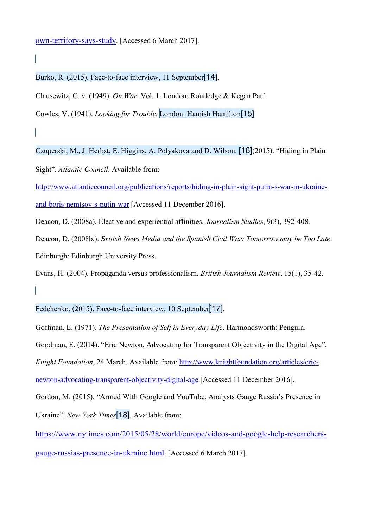own-territory-says-study. [Accessed 6 March 2017].

Burko, R. (2015). Face-to-face interview, 11 September<sup>[14]</sup>.

Clausewitz, C. v. (1949). *On War*. Vol. 1. London: Routledge & Kegan Paul.

Cowles, V. (1941). *Looking for Trouble*. London: Hamish Hamilton[15].

Czuperski, M., J. Herbst, E. Higgins, A. Polyakova and D. Wilson. [16](2015). "Hiding in Plain Sight". *Atlantic Council*. Available from:

http://www.atlanticcouncil.org/publications/reports/hiding-in-plain-sight-putin-s-war-in-ukraineand-boris-nemtsov-s-putin-war [Accessed 11 December 2016].

Deacon, D. (2008a). Elective and experiential affinities. *Journalism Studies*, 9(3), 392-408.

Deacon, D. (2008b.). *British News Media and the Spanish Civil War: Tomorrow may be Too Late*. Edinburgh: Edinburgh University Press.

Evans, H. (2004). Propaganda versus professionalism. *British Journalism Review*. 15(1), 35-42.

Fedchenko. (2015). Face-to-face interview, 10 September[17].

Goffman, E. (1971). *The Presentation of Self in Everyday Life*. Harmondsworth: Penguin. Goodman, E. (2014). "Eric Newton, Advocating for Transparent Objectivity in the Digital Age". *Knight Foundation*, 24 March. Available from: http://www.knightfoundation.org/articles/ericnewton-advocating-transparent-objectivity-digital-age [Accessed 11 December 2016]. Gordon, M. (2015). "Armed With Google and YouTube, Analysts Gauge Russia's Presence in

Ukraine". *New York Times*[18]. Available from:

https://www.nytimes.com/2015/05/28/world/europe/videos-and-google-help-researchersgauge-russias-presence-in-ukraine.html. [Accessed 6 March 2017].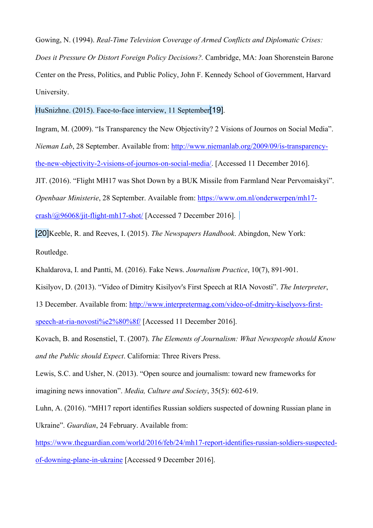Gowing, N. (1994). *Real-Time Television Coverage of Armed Conflicts and Diplomatic Crises:*

*Does it Pressure Or Distort Foreign Policy Decisions?.* Cambridge, MA: Joan Shorenstein Barone Center on the Press, Politics, and Public Policy, John F. Kennedy School of Government, Harvard University.

HuSnizhne. (2015). Face-to-face interview, 11 September<sup>[19]</sup>.

Ingram, M. (2009). "Is Transparency the New Objectivity? 2 Visions of Journos on Social Media". *Nieman Lab*, 28 September. Available from: http://www.niemanlab.org/2009/09/is-transparencythe-new-objectivity-2-visions-of-journos-on-social-media/. [Accessed 11 December 2016]. JIT. (2016). "Flight MH17 was Shot Down by a BUK Missile from Farmland Near Pervomaiskyi".

*Openbaar Ministerie*, 28 September. Available from: https://www.om.nl/onderwerpen/mh17 crash/@96068/jit-flight-mh17-shot/ [Accessed 7 December 2016].

[20]Keeble, R. and Reeves, I. (2015). *The Newspapers Handbook*. Abingdon, New York: Routledge.

Khaldarova, I. and Pantti, M. (2016). Fake News. *Journalism Practice*, 10(7), 891-901.

Kisilyov, D. (2013). "Video of Dimitry Kisilyov's First Speech at RIA Novosti". *The Interpreter*,

13 December. Available from: http://www.interpretermag.com/video-of-dmitry-kiselyovs-first-

speech-at-ria-novosti%e2%80%8f/ [Accessed 11 December 2016].

Kovach, B. and Rosenstiel, T. (2007). *The Elements of Journalism: What Newspeople should Know and the Public should Expect*. California: Three Rivers Press.

Lewis, S.C. and Usher, N. (2013). "Open source and journalism: toward new frameworks for imagining news innovation". *Media, Culture and Society*, 35(5): 602-619.

Luhn, A. (2016). "MH17 report identifies Russian soldiers suspected of downing Russian plane in Ukraine". *Guardian*, 24 February. Available from:

https://www.theguardian.com/world/2016/feb/24/mh17-report-identifies-russian-soldiers-suspected-

of-downing-plane-in-ukraine [Accessed 9 December 2016].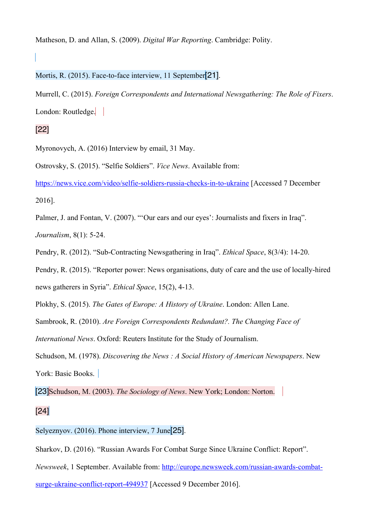Matheson, D. and Allan, S. (2009). *Digital War Reporting*. Cambridge: Polity.

#### Mortis, R. (2015). Face-to-face interview, 11 September<sup>[21]</sup>.

Murrell, C. (2015). *Foreign Correspondents and International Newsgathering: The Role of Fixers*. London: Routledge.

#### [22]

Myronovych, A. (2016) Interview by email, 31 May.

Ostrovsky, S. (2015). "Selfie Soldiers". *Vice News*. Available from:

https://news.vice.com/video/selfie-soldiers-russia-checks-in-to-ukraine [Accessed 7 December 2016].

Palmer, J. and Fontan, V. (2007). "'Our ears and our eyes': Journalists and fixers in Iraq". *Journalism*, 8(1): 5-24.

Pendry, R. (2012). "Sub-Contracting Newsgathering in Iraq". *Ethical Space*, 8(3/4): 14-20.

Pendry, R. (2015). "Reporter power: News organisations, duty of care and the use of locally-hired news gatherers in Syria". *Ethical Space*, 15(2), 4-13.

Plokhy, S. (2015). *The Gates of Europe: A History of Ukraine*. London: Allen Lane.

Sambrook, R. (2010). *Are Foreign Correspondents Redundant?. The Changing Face of*

*International News*. Oxford: Reuters Institute for the Study of Journalism.

Schudson, M. (1978). *Discovering the News : A Social History of American Newspapers*. New York: Basic Books.

[23]Schudson, M. (2003). *The Sociology of News*. New York; London: Norton.

#### [24]

Selyeznyov. (2016). Phone interview, 7 June<sup>[25]</sup>.

Sharkov, D. (2016). "Russian Awards For Combat Surge Since Ukraine Conflict: Report".

*Newsweek*, 1 September. Available from: http://europe.newsweek.com/russian-awards-combat-

surge-ukraine-conflict-report-494937 [Accessed 9 December 2016].